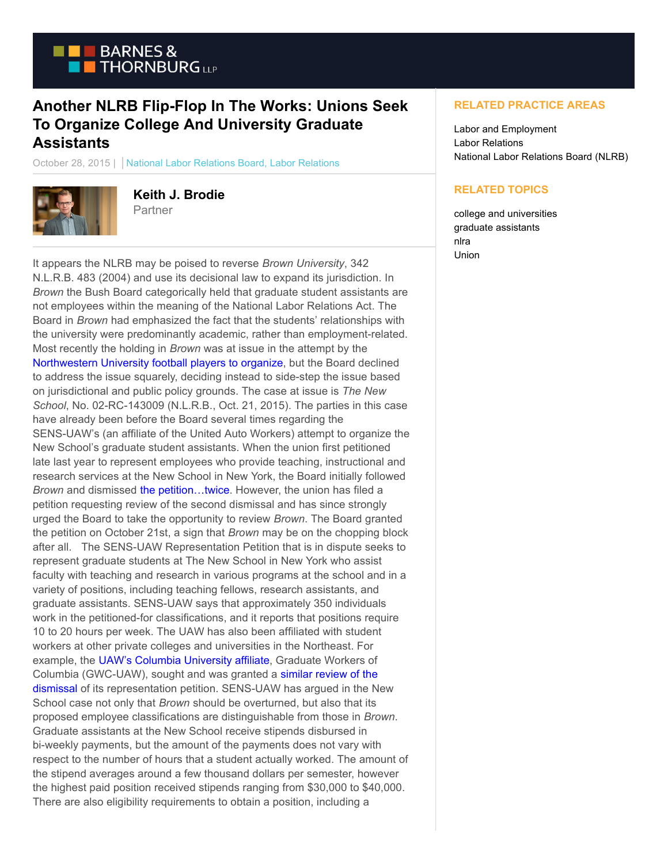

## **Another NLRB Flip-Flop In The Works: Unions Seek To Organize College And University Graduate Assistants**

October 28, 2015 | National Labor Relations Board, Labor Relations



**Keith J. Brodie Partner** 

It appears the NLRB may be poised to reverse *Brown University*, 342 N.L.R.B. 483 (2004) and use its decisional law to expand its jurisdiction. In *Brown* the Bush Board categorically held that graduate student assistants are not employees within the meaning of the National Labor Relations Act. The Board in *Brown* had emphasized the fact that the students' relationships with the university were predominantly academic, rather than employment-related. Most recently the holding in *Brown* was at issue in the attempt by the [Northwestern University football players to organize,](https://www.btlaborrelations.com/nlrb-invites-briefs-in-northwestern-football-case/) but the Board declined to address the issue squarely, deciding instead to side-step the issue based on jurisdictional and public policy grounds. The case at issue is *The New School*, No. 02-RC-143009 (N.L.R.B., Oct. 21, 2015). The parties in this case have already been before the Board several times regarding the SENS-UAW's (an affiliate of the United Auto Workers) attempt to organize the New School's graduate student assistants. When the union first petitioned late last year to represent employees who provide teaching, instructional and research services at the New School in New York, the Board initially followed *Brown* and dismissed [the petition…twice.](https://www.btlaborrelations.com/wp-content/uploads/2015/10/The-New-School-RD-Decision-and-Order.pdf) However, the union has filed a petition requesting review of the second dismissal and has since strongly urged the Board to take the opportunity to review *Brown*. The Board granted the petition on October 21st, a sign that *Brown* may be on the chopping block after all. The SENS-UAW Representation Petition that is in dispute seeks to represent graduate students at The New School in New York who assist faculty with teaching and research in various programs at the school and in a variety of positions, including teaching fellows, research assistants, and graduate assistants. SENS-UAW says that approximately 350 individuals work in the petitioned-for classifications, and it reports that positions require 10 to 20 hours per week. The UAW has also been affiliated with student workers at other private colleges and universities in the Northeast. For example, the [UAW's Columbia University affiliate,](https://www.btlaborrelations.com/can-graduate-assistants-organize-columbia-university-effort-could-result-in-the-reversal-of-the-brown-decision/) Graduate Workers of Columbia (GWC-UAW), sought and was granted a [similar review of the](https://www.btlaborrelations.com/wp-content/uploads/2015/10/Columbia-University-Board-Decision.pdf) dismissal of its representation petition. SENS-UAW has argued in the New School case not only that *Brown* should be overturned, but also that its proposed employee classifications are distinguishable from those in *Brown*. Graduate assistants at the New School receive stipends disbursed in bi-weekly payments, but the amount of the payments does not vary with respect to the number of hours that a student actually worked. The amount of the stipend averages around a few thousand dollars per semester, however the highest paid position received stipends ranging from \$30,000 to \$40,000. There are also eligibility requirements to obtain a position, including a

## **RELATED PRACTICE AREAS**

Labor and Employment Labor Relations National Labor Relations Board (NLRB)

## **RELATED TOPICS**

college and universities graduate assistants nlra Union